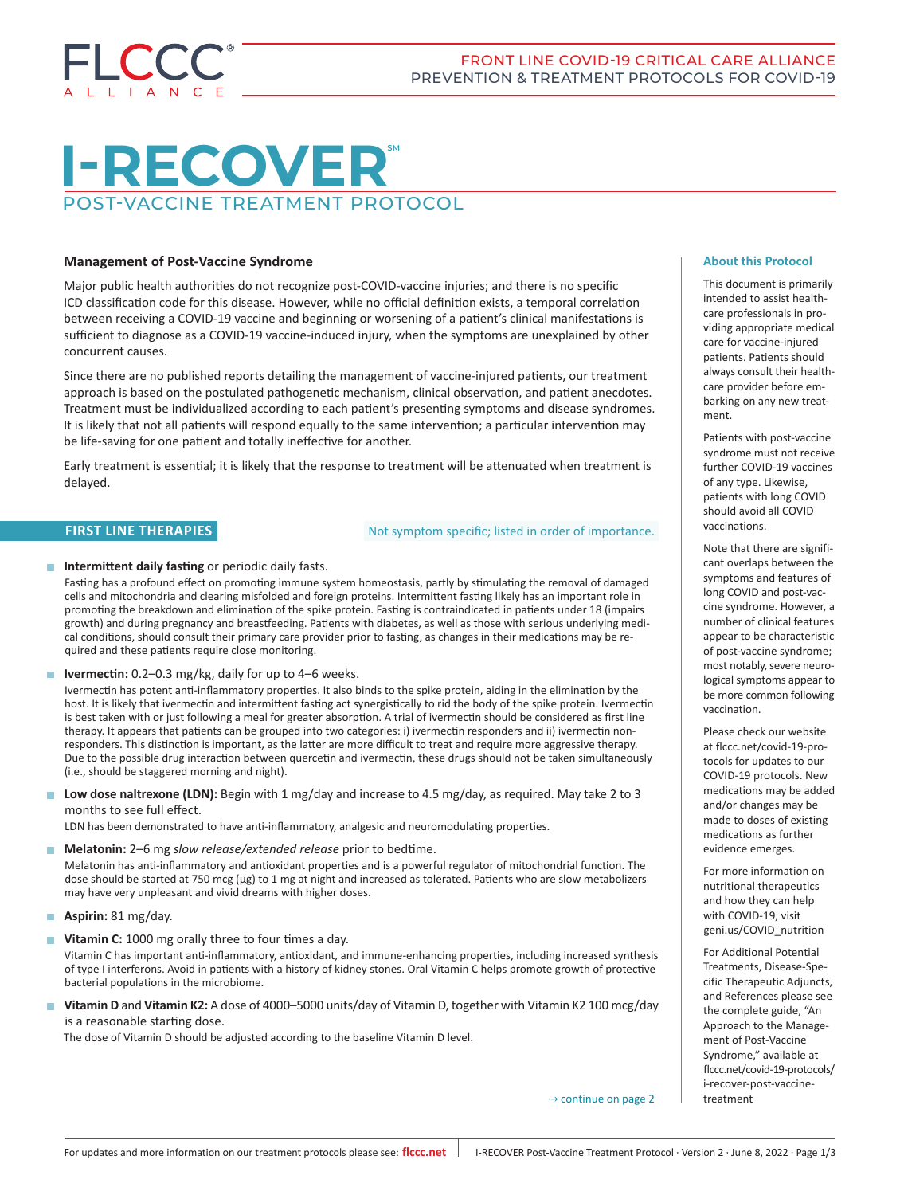

# $I-RECOVER$ POST-VACCINE TREATMENT PROTOCOL

# **Management of Post-Vaccine Syndrome**

Major public health authorities do not recognize post-COVID-vaccine injuries; and there is no specific ICD classification code for this disease. However, while no official definition exists, a temporal correlation between receiving a COVID-19 vaccine and beginning or worsening of a patient's clinical manifestations is sufficient to diagnose as a COVID-19 vaccine-induced injury, when the symptoms are unexplained by other concurrent causes.

Since there are no published reports detailing the management of vaccine-injured patients, our treatment approach is based on the postulated pathogenetic mechanism, clinical observation, and patient anecdotes. Treatment must be individualized according to each patient's presenting symptoms and disease syndromes. It is likely that not all patients will respond equally to the same intervention; a particular intervention may be life-saving for one patient and totally ineffective for another.

Early treatment is essential; it is likely that the response to treatment will be attenuated when treatment is delayed.

# **FIRST LINE THERAPIES**

Not symptom specific; listed in order of importance.

# **Intermittent daily fasting** or periodic daily fasts.

Fasting has a profound effect on promoting immune system homeostasis, partly by stimulating the removal of damaged cells and mitochondria and clearing misfolded and foreign proteins. Intermittent fasting likely has an important role in promoting the breakdown and elimination of the spike protein. Fasting is contraindicated in patients under 18 (impairs growth) and during pregnancy and breastfeeding. Patients with diabetes, as well as those with serious underlying medical conditions, should consult their primary care provider prior to fasting, as changes in their medications may be required and these patients require close monitoring.

■ **Ivermectin:** 0.2–0.3 mg/kg, daily for up to 4–6 weeks.

Ivermectin has potent anti-inflammatory properties. It also binds to the spike protein, aiding in the elimination by the host. It is likely that ivermectin and intermittent fasting act synergistically to rid the body of the spike protein. Ivermectin is best taken with or just following a meal for greater absorption. A trial of ivermectin should be considered as first line therapy. It appears that patients can be grouped into two categories: i) ivermectin responders and ii) ivermectin nonresponders. This distinction is important, as the latter are more difficult to treat and require more aggressive therapy. Due to the possible drug interaction between quercetin and ivermectin, these drugs should not be taken simultaneously (i.e., should be staggered morning and night).

**Low dose naltrexone (LDN):** Begin with 1 mg/day and increase to 4.5 mg/day, as required. May take 2 to 3 months to see full effect.

LDN has been demonstrated to have anti-inflammatory, analgesic and neuromodulating properties.

**Melatonin:** 2–6 mg *slow release/extended release* prior to bedtime.

Melatonin has anti-inflammatory and antioxidant properties and is a powerful regulator of mitochondrial function. The dose should be started at 750 mcg (μg) to 1 mg at night and increased as tolerated. Patients who are slow metabolizers may have very unpleasant and vivid dreams with higher doses.

- **Aspirin:** 81 mg/day.
- **Vitamin C:** 1000 mg orally three to four times a day.

Vitamin C has important anti-inflammatory, antioxidant, and immune-enhancing properties, including increased synthesis of type I interferons. Avoid in patients with a history of kidney stones. Oral Vitamin C helps promote growth of protective bacterial populations in the microbiome.

 **Vitamin D** and **Vitamin K2:** A dose of 4000–5000 units/day of Vitamin D, together with Vitamin K2 100 mcg/day is a reasonable starting dose.

The dose of Vitamin D should be adjusted according to the baseline Vitamin D level.

**About this Protocol**

This document is primarily intended to assist healthcare professionals in providing appropriate medical care for vaccine-injured patients. Patients should always consult their healthcare provider before embarking on any new treatment.

Patients with post-vaccine syndrome must not receive further COVID-19 vaccines of any type. Likewise, patients with long COVID should avoid all COVID vaccinations.

Note that there are significant overlaps between the symptoms and features of long COVID and post-vaccine syndrome. However, a number of clinical features appear to be characteristic of post-vaccine syndrome; most notably, severe neurological symptoms appear to be more common following vaccination.

Please check our website at flccc.net/covid-19-protocols for updates to our COVID-19 protocols. New medications may be added and/or changes may be made to doses of existing medications as further evidence emerges.

For more information on nutritional therapeutics and how they can help with COVID-19, visit geni.us/COVID\_nutrition

For Additional Potential Treatments, Disease-Specific Therapeutic Adjuncts, and References please see the complete guide, "An Approach to the Management of Post-Vaccine Syndrome," available at flccc.net/covid-19-protocols/ i-recover-post-vaccinetreatment

 $\rightarrow$  continue on page 2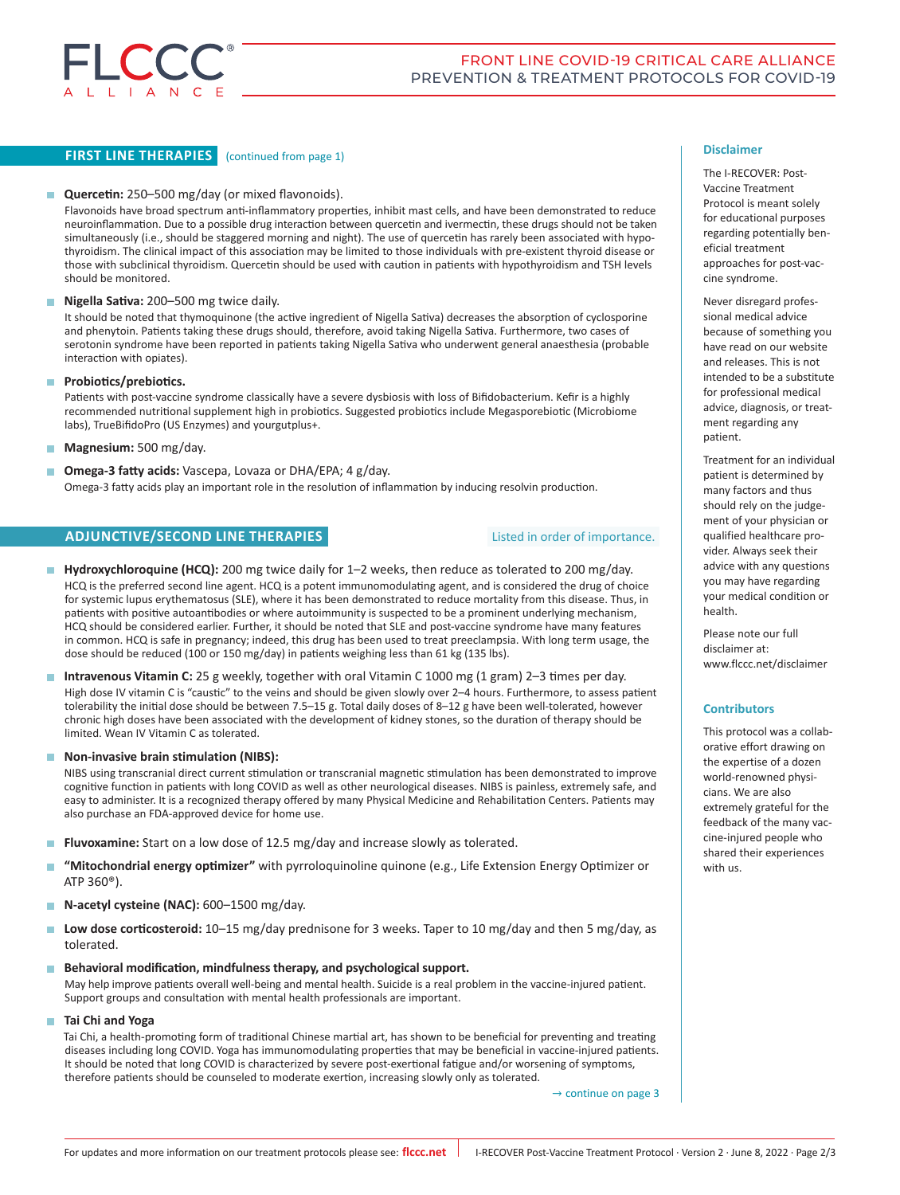

# **FIRST LINE THERAPIES** (continued from page 1)

# **Quercetin:** 250–500 mg/day (or mixed flavonoids).

Flavonoids have broad spectrum anti-inflammatory properties, inhibit mast cells, and have been demonstrated to reduce neuroinflammation. Due to a possible drug interaction between quercetin and ivermectin, these drugs should not be taken simultaneously (i.e., should be staggered morning and night). The use of quercetin has rarely been associated with hypothyroidism. The clinical impact of this association may be limited to those individuals with pre-existent thyroid disease or those with subclinical thyroidism. Quercetin should be used with caution in patients with hypothyroidism and TSH levels should be monitored.

### **Nigella Sativa:** 200–500 mg twice daily.

It should be noted that thymoquinone (the active ingredient of Nigella Sativa) decreases the absorption of cyclosporine and phenytoin. Patients taking these drugs should, therefore, avoid taking Nigella Sativa. Furthermore, two cases of serotonin syndrome have been reported in patients taking Nigella Sativa who underwent general anaesthesia (probable interaction with opiates).

#### **Probiotics/prebiotics.**

Patients with post-vaccine syndrome classically have a severe dysbiosis with loss of Bifidobacterium. Kefir is a highly recommended nutritional supplement high in probiotics. Suggested probiotics include Megasporebiotic (Microbiome labs), TrueBifidoPro (US Enzymes) and yourgutplus+.

**Magnesium:** 500 mg/day.

 **Omega-3 fatty acids:** Vascepa, Lovaza or DHA/EPA; 4 g/day. Omega-3 fatty acids play an important role in the resolution of inflammation by inducing resolvin production.

# **ADJUNCTIVE/SECOND LINE THERAPIES**

# Listed in order of importance.

■ Hydroxychloroquine (HCQ): 200 mg twice daily for 1–2 weeks, then reduce as tolerated to 200 mg/day. HCQ is the preferred second line agent. HCQ is a potent immunomodulating agent, and is considered the drug of choice for systemic lupus erythematosus (SLE), where it has been demonstrated to reduce mortality from this disease. Thus, in patients with positive autoantibodies or where autoimmunity is suspected to be a prominent underlying mechanism, HCQ should be considered earlier. Further, it should be noted that SLE and post-vaccine syndrome have many features in common. HCQ is safe in pregnancy; indeed, this drug has been used to treat preeclampsia. With long term usage, the dose should be reduced (100 or 150 mg/day) in patients weighing less than 61 kg (135 lbs).

 **Intravenous Vitamin C:** 25 g weekly, together with oral Vitamin C 1000 mg (1 gram) 2–3 times per day. High dose IV vitamin C is "caustic" to the veins and should be given slowly over 2–4 hours. Furthermore, to assess patient tolerability the initial dose should be between 7.5–15 g. Total daily doses of 8–12 g have been well-tolerated, however chronic high doses have been associated with the development of kidney stones, so the duration of therapy should be limited. Wean IV Vitamin C as tolerated.

### ■ Non-invasive brain stimulation (NIBS):

NIBS using transcranial direct current stimulation or transcranial magnetic stimulation has been demonstrated to improve cognitive function in patients with long COVID as well as other neurological diseases. NIBS is painless, extremely safe, and easy to administer. It is a recognized therapy offered by many Physical Medicine and Rehabilitation Centers. Patients may also purchase an FDA-approved device for home use.

- **Fluvoxamine:** Start on a low dose of 12.5 mg/day and increase slowly as tolerated.
- **"Mitochondrial energy optimizer"** with pyrroloquinoline quinone (e.g., Life Extension Energy Optimizer or ATP 360®).
- **N-acetyl cysteine (NAC):** 600–1500 mg/day.
- Low dose corticosteroid: 10–15 mg/day prednisone for 3 weeks. Taper to 10 mg/day and then 5 mg/day, as tolerated.
- **Behavioral modification, mindfulness therapy, and psychological support.**

May help improve patients overall well-being and mental health. Suicide is a real problem in the vaccine-injured patient. Support groups and consultation with mental health professionals are important.

# **Tai Chi and Yoga**

Tai Chi, a health-promoting form of traditional Chinese martial art, has shown to be beneficial for preventing and treating diseases including long COVID. Yoga has immunomodulating properties that may be beneficial in vaccine-injured patients. It should be noted that long COVID is characterized by severe post-exertional fatigue and/or worsening of symptoms, therefore patients should be counseled to moderate exertion, increasing slowly only as tolerated.

→ continue on page 3

#### **Disclaimer**

The I-RECOVER: Post-Vaccine Treatment Protocol is meant solely for educational purposes regarding potentially beneficial treatment approaches for post-vaccine syndrome.

Never disregard professional medical advice because of something you have read on our website and releases. This is not intended to be a substitute for professional medical advice, diagnosis, or treatment regarding any patient.

Treatment for an individual patient is determined by many factors and thus should rely on the judgement of your physician or qualified healthcare provider. Always seek their advice with any questions you may have regarding your medical condition or health.

Please note our full disclaimer at: www.flccc.net/disclaimer

#### **Contributors**

This protocol was a collaborative effort drawing on the expertise of a dozen world-renowned physicians. We are also extremely grateful for the feedback of the many vaccine-injured people who shared their experiences with us.